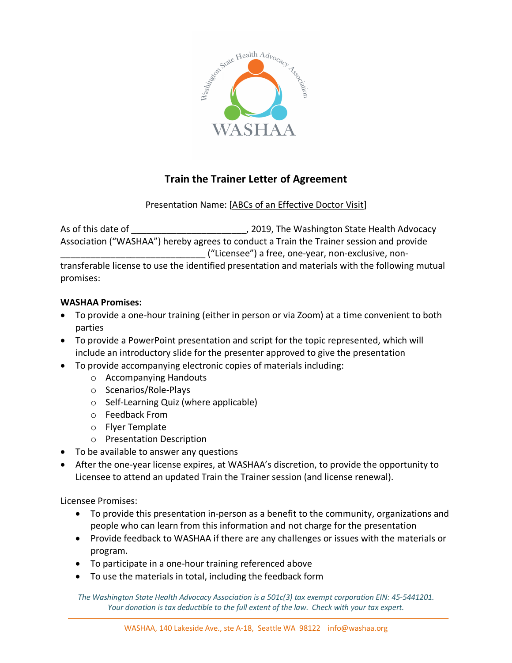

## **Train the Trainer Letter of Agreement**

## Presentation Name: [ABCs of an Effective Doctor Visit]

As of this date of **All Properts 2019**, The Washington State Health Advocacy Association ("WASHAA") hereby agrees to conduct a Train the Trainer session and provide \_\_\_\_\_\_\_\_\_\_\_\_\_\_\_\_\_\_\_\_\_\_\_\_\_\_\_\_\_ ("Licensee") a free, one-year, non-exclusive, nontransferable license to use the identified presentation and materials with the following mutual promises:

## **WASHAA Promises:**

- To provide a one-hour training (either in person or via Zoom) at a time convenient to both parties
- To provide a PowerPoint presentation and script for the topic represented, which will include an introductory slide for the presenter approved to give the presentation
- To provide accompanying electronic copies of materials including:
	- o Accompanying Handouts
	- o Scenarios/Role-Plays
	- o Self-Learning Quiz (where applicable)
	- o Feedback From
	- o Flyer Template
	- o Presentation Description
- To be available to answer any questions
- After the one-year license expires, at WASHAA's discretion, to provide the opportunity to Licensee to attend an updated Train the Trainer session (and license renewal).

Licensee Promises:

- To provide this presentation in-person as a benefit to the community, organizations and people who can learn from this information and not charge for the presentation
- Provide feedback to WASHAA if there are any challenges or issues with the materials or program.
- To participate in a one-hour training referenced above
- To use the materials in total, including the feedback form

*The Washington State Health Advocacy Association is a 501c(3) tax exempt corporation EIN: 45-5441201. Your donation is tax deductible to the full extent of the law. Check with your tax expert.*